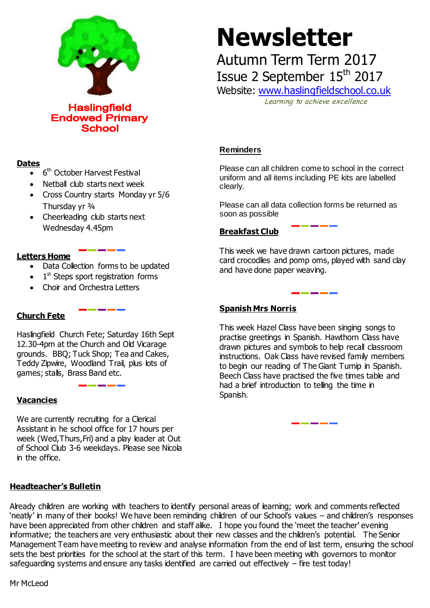

**Haslingfield Endowed Primary School** 

#### **Dates**

- 6<sup>th</sup> October Harvest Festival
- Netball club starts next week
- Cross Country starts Monday yr 5/6 Thursday yr ¾
- Cheerleading club starts next Wednesday 4.45pm

#### **Letters Home**

- Data Collection forms to be updated
- $\bullet$  1<sup>st</sup> Steps sport registration forms
- Choir and Orchestra Letters

# **Church Fete**

Haslingfield Church Fete; Saturday 16th Sept 12.30-4pm at the Church and Old Vicarage grounds. BBQ; Tuck Shop; Tea and Cakes, Teddy Zipwire, Woodland Trail, plus lots of games; stalls, Brass Band etc.

#### **Vacancies**

We are currently recruiting for a Clerical Assistant in he school office for 17 hours per week (Wed,Thurs,Fri) and a play leader at Out of School Club 3-6 weekdays. Please see Nicola in the office.

#### **Headteacher's Bulletin**

Already children are working with teachers to identify personal areas of learning; work and comments reflected 'neatly' in many of their books! We have been reminding children of our School's values – and children's responses have been appreciated from other children and staff alike. I hope you found the 'meet the teacher' evening informative; the teachers are very enthusiastic about their new classes and the children's potential. The Senior Management Team have meeting to review and analyse information from the end of last term, ensuring the school sets the best priorities for the school at the start of this term. I have been meeting with governors to monitor safeguarding systems and ensure any tasks identified are carried out effectively – fire test today!

# **Newsletter**

Autumn Term Term 2017

Issue 2 September 15<sup>th</sup> 2017

Website: [www.haslingfieldschool.co.uk](http://www.haslingfieldschool.co.uk/) Learning to achieve excellence

#### **Reminders**

Please can all children come to school in the correct uniform and all items including PE kits are labelled clearly.

Please can all data collection forms be returned as soon as possible

## **Breakfast Club**

This week we have drawn cartoon pictures, made card crocodiles and pomp oms, played with sand clay and have done paper weaving.

### **Spanish Mrs Norris**

 instructions. Oak Class have revised family members Beech Class have practised the five times table and This week Hazel Class have been singing songs to practise greetings in Spanish. Hawthorn Class have drawn pictures and symbols to help recall classroom to begin our reading of The Giant Turnip in Spanish. had a brief introduction to telling the time in Spanish.